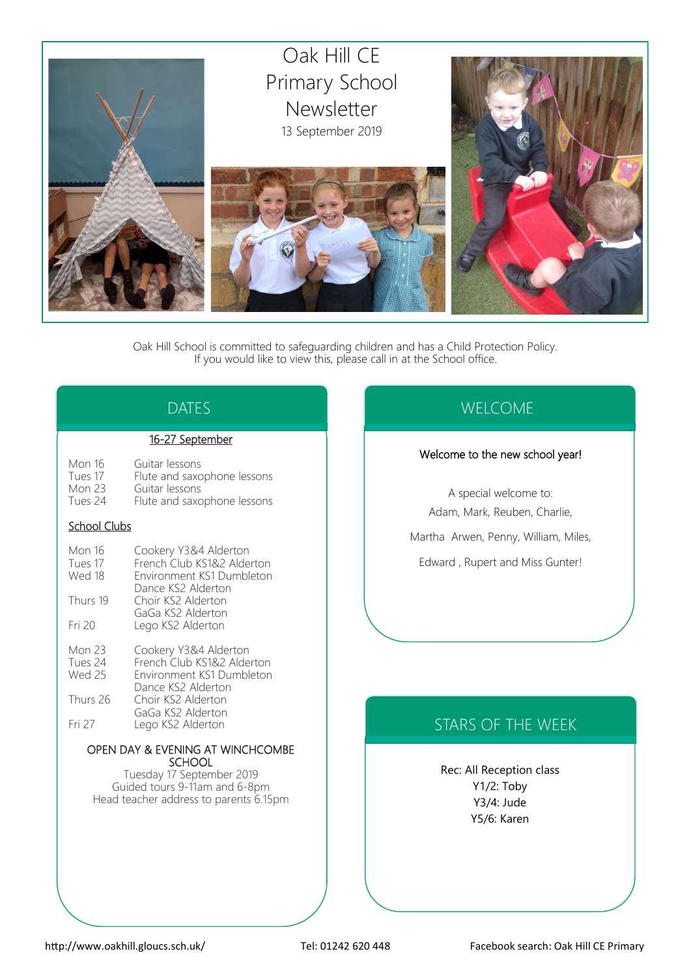

Oak Hill School is committed to safeguarding children and has a Child Protection Policy. If you would like to view this, please call in at the School office.

# DATES

### 16-27 September

| Mon 16              | Guitar lessons              |
|---------------------|-----------------------------|
| Tues 17             | Flute and saxophone lessons |
| Mon 23              | Guitar lessons              |
| Tues 24             | Flute and saxophone lessons |
| <b>School Clubs</b> |                             |
|                     |                             |

| Mon 16<br>Tues 17<br>Wed 18 | Cookery Y3&4 Alderton<br>French Club KS1&2 Alderton<br>Environment KS1 Dumbleton<br>Dance KS2 Alderton |
|-----------------------------|--------------------------------------------------------------------------------------------------------|
| Thurs 19                    | Choir KS2 Alderton<br>GaGa KS2 Alderton                                                                |
| Fri 20                      | Lego KS2 Alderton                                                                                      |
| Mon 23<br>Tues 24<br>Wed 25 | Cookery Y3&4 Alderton<br>French Club KS1&2 Alderton<br>Environment KS1 Dumbleton                       |

|          | Dance KS2 Alderton |
|----------|--------------------|
| Thurs 26 | Choir KS2 Alderton |
|          | GaGa KS2 Alderton  |
| Fri 27   | Lego KS2 Alderton  |

#### OPEN DAY & EVENING AT WINCHCOMBE **SCHOOL**

Tuesday 17 September 2019 Guided tours 9-11am and 6-8pm Head teacher address to parents 6.15pm

# WELCOME

### Welcome to the new school year!

A special welcome to: Adam, Mark, Reuben, Charlie, Martha Arwen, Penny, William, Miles, Edward , Rupert and Miss Gunter!

# STARS OF THE WEEK

Rec: All Reception class Y1/2: Toby Y3/4: Jude Y5/6: Karen